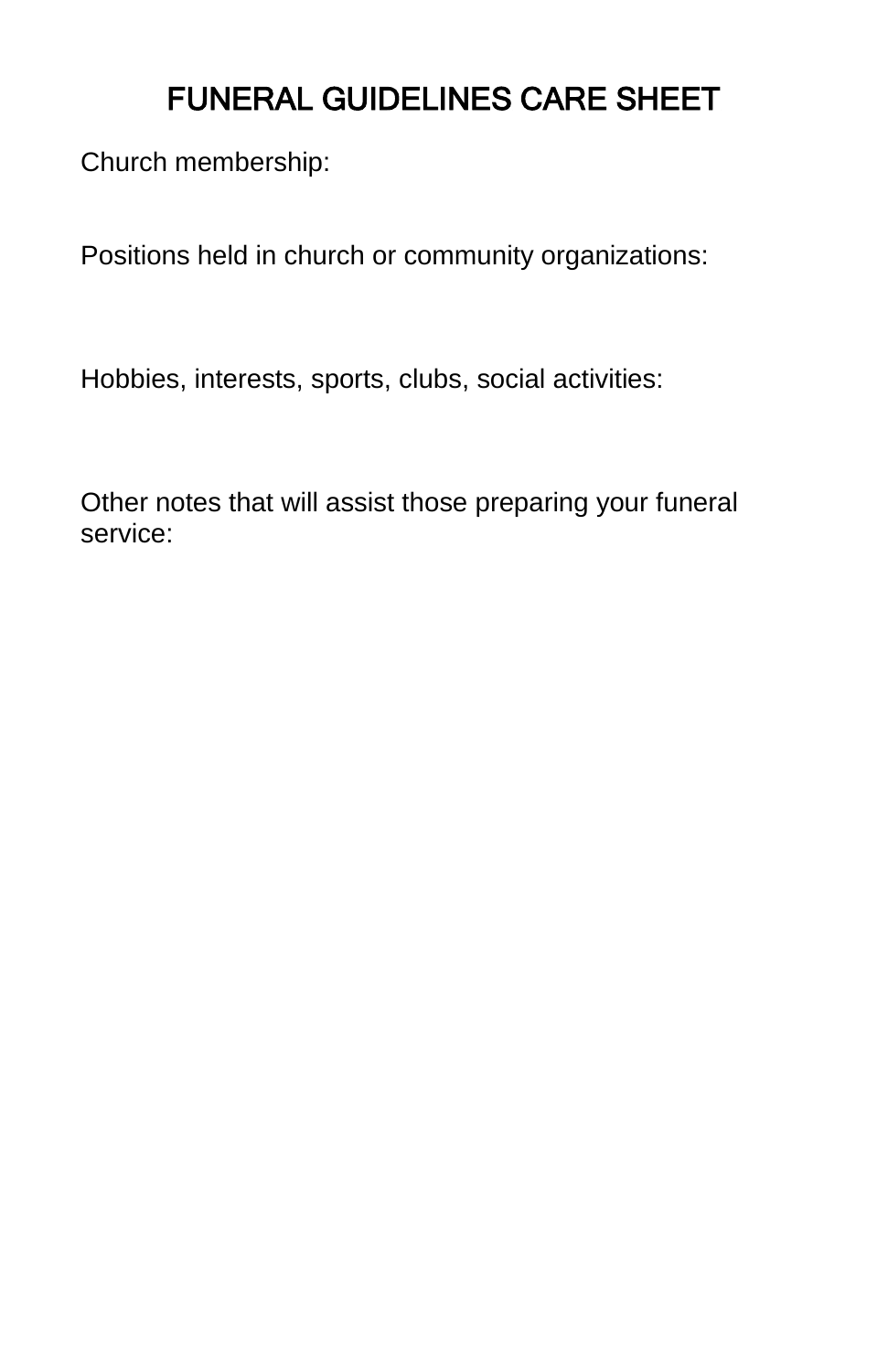## FUNERAL GUIDELINES CARE SHEET

Church membership:

Positions held in church or community organizations:

Hobbies, interests, sports, clubs, social activities:

Other notes that will assist those preparing your funeral service: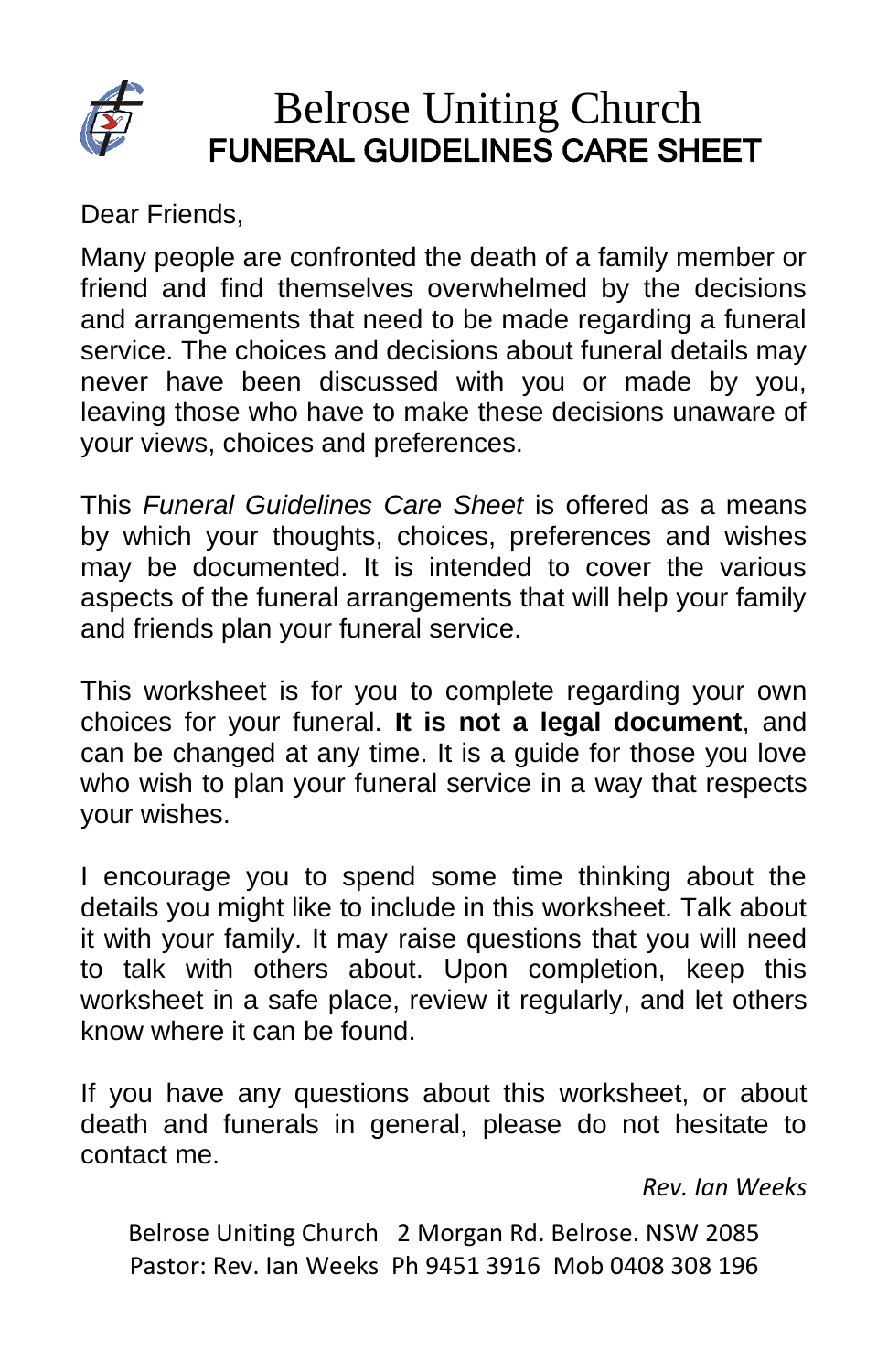

## Belrose Uniting Church FUNERAL GUIDELINES CARE SHEET

Dear Friends,

Many people are confronted the death of a family member or friend and find themselves overwhelmed by the decisions and arrangements that need to be made regarding a funeral service. The choices and decisions about funeral details may never have been discussed with you or made by you, leaving those who have to make these decisions unaware of your views, choices and preferences.

This *Funeral Guidelines Care Sheet* is offered as a means by which your thoughts, choices, preferences and wishes may be documented. It is intended to cover the various aspects of the funeral arrangements that will help your family and friends plan your funeral service.

This worksheet is for you to complete regarding your own choices for your funeral. **It is not a legal document**, and can be changed at any time. It is a guide for those you love who wish to plan your funeral service in a way that respects your wishes.

I encourage you to spend some time thinking about the details you might like to include in this worksheet. Talk about it with your family. It may raise questions that you will need to talk with others about. Upon completion, keep this worksheet in a safe place, review it regularly, and let others know where it can be found.

If you have any questions about this worksheet, or about death and funerals in general, please do not hesitate to contact me.

*Rev. Ian Weeks*

Belrose Uniting Church 2 Morgan Rd. Belrose. NSW 2085 Pastor: Rev. Ian Weeks Ph 9451 3916 Mob 0408 308 196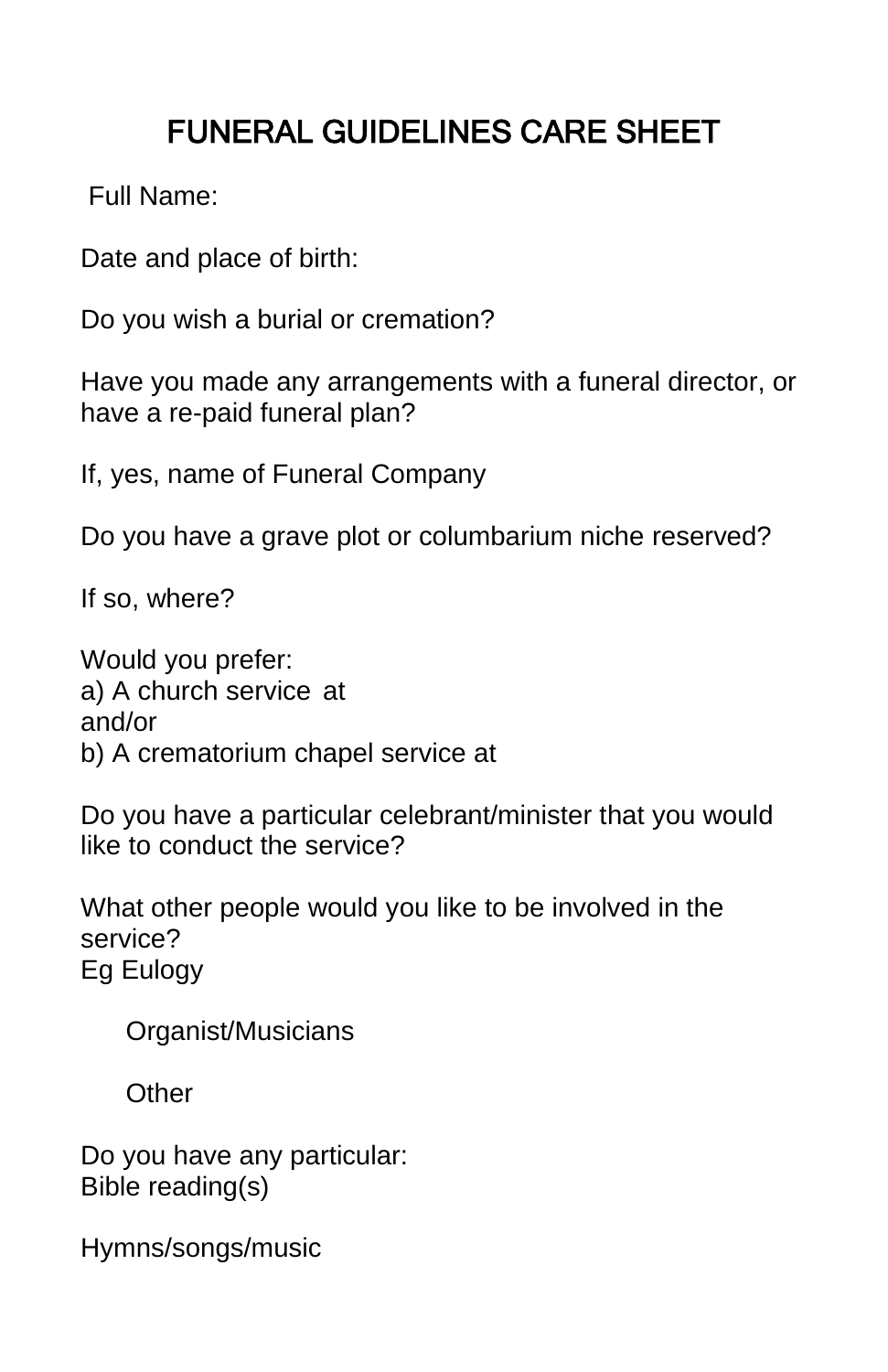# FUNERAL GUIDELINES CARE SHEET

Full Name:

Date and place of birth:

Do you wish a burial or cremation?

Have you made any arrangements with a funeral director, or have a re-paid funeral plan?

If, yes, name of Funeral Company

Do you have a grave plot or columbarium niche reserved?

If so, where?

Would you prefer: a) A church service at and/or b) A crematorium chapel service at

Do you have a particular celebrant/minister that you would like to conduct the service?

What other people would you like to be involved in the service? Eg Eulogy

Organist/Musicians

**Other** 

Do you have any particular: Bible reading(s)

Hymns/songs/music